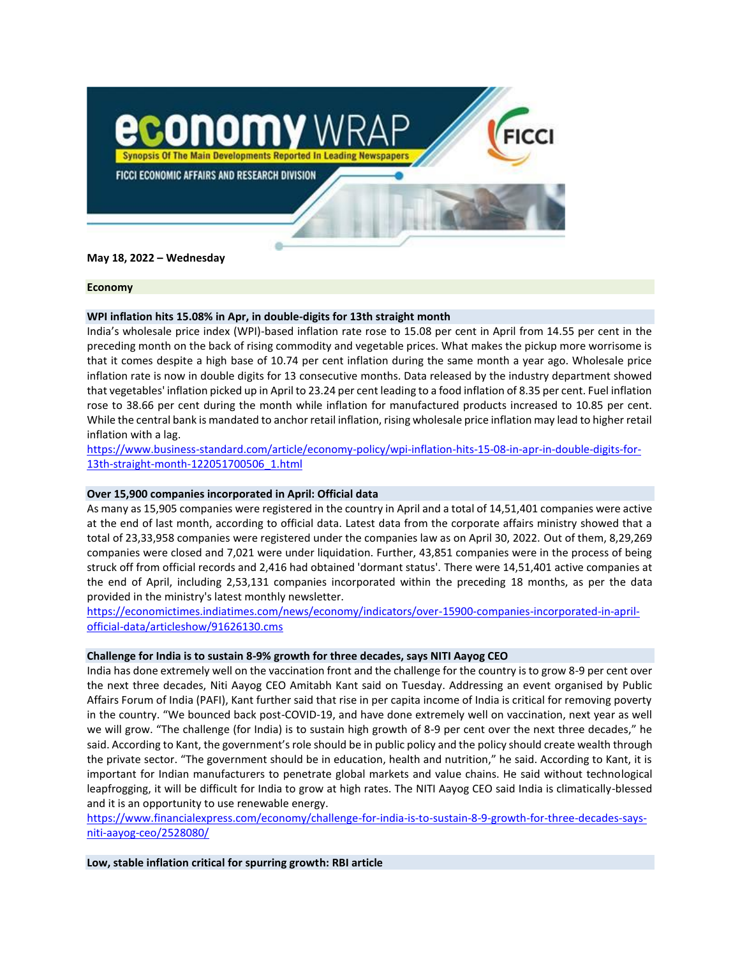

**May 18, 2022 – Wednesday**

**Economy**

## **WPI inflation hits 15.08% in Apr, in double-digits for 13th straight month**

India's wholesale price index (WPI)-based inflation rate rose to 15.08 per cent in April from 14.55 per cent in the preceding month on the back of rising commodity and vegetable prices. What makes the pickup more worrisome is that it comes despite a high base of 10.74 per cent inflation during the same month a year ago. Wholesale price inflation rate is now in double digits for 13 consecutive months. Data released by the industry department showed that vegetables' inflation picked up in April to 23.24 per cent leading to a food inflation of 8.35 per cent. Fuel inflation rose to 38.66 per cent during the month while inflation for manufactured products increased to 10.85 per cent. While the central bank is mandated to anchor retail inflation, rising wholesale price inflation may lead to higher retail inflation with a lag.

[https://www.business-standard.com/article/economy-policy/wpi-inflation-hits-15-08-in-apr-in-double-digits-for-](https://www.business-standard.com/article/economy-policy/wpi-inflation-hits-15-08-in-apr-in-double-digits-for-13th-straight-month-122051700506_1.html)[13th-straight-month-122051700506\\_1.html](https://www.business-standard.com/article/economy-policy/wpi-inflation-hits-15-08-in-apr-in-double-digits-for-13th-straight-month-122051700506_1.html)

## **Over 15,900 companies incorporated in April: Official data**

As many as 15,905 companies were registered in the country in April and a total of 14,51,401 companies were active at the end of last month, according to official data. Latest data from the corporate affairs ministry showed that a total of 23,33,958 companies were registered under the companies law as on April 30, 2022. Out of them, 8,29,269 companies were closed and 7,021 were under liquidation. Further, 43,851 companies were in the process of being struck off from official records and 2,416 had obtained 'dormant status'. There were 14,51,401 active companies at the end of April, including 2,53,131 companies incorporated within the preceding 18 months, as per the data provided in the ministry's latest monthly newsletter.

[https://economictimes.indiatimes.com/news/economy/indicators/over-15900-companies-incorporated-in-april](https://economictimes.indiatimes.com/news/economy/indicators/over-15900-companies-incorporated-in-april-official-data/articleshow/91626130.cms)[official-data/articleshow/91626130.cms](https://economictimes.indiatimes.com/news/economy/indicators/over-15900-companies-incorporated-in-april-official-data/articleshow/91626130.cms)

## **Challenge for India is to sustain 8-9% growth for three decades, says NITI Aayog CEO**

India has done extremely well on the vaccination front and the challenge for the country is to grow 8-9 per cent over the next three decades, Niti Aayog CEO Amitabh Kant said on Tuesday. Addressing an event organised by Public Affairs Forum of India (PAFI), Kant further said that rise in per capita income of India is critical for removing poverty in the country. "We bounced back post-COVID-19, and have done extremely well on vaccination, next year as well we will grow. "The challenge (for India) is to sustain high growth of 8-9 per cent over the next three decades," he said. According to Kant, the government's role should be in public policy and the policy should create wealth through the private sector. "The government should be in education, health and nutrition," he said. According to Kant, it is important for Indian manufacturers to penetrate global markets and value chains. He said without technological leapfrogging, it will be difficult for India to grow at high rates. The NITI Aayog CEO said India is climatically-blessed and it is an opportunity to use renewable energy.

[https://www.financialexpress.com/economy/challenge-for-india-is-to-sustain-8-9-growth-for-three-decades-says](https://www.financialexpress.com/economy/challenge-for-india-is-to-sustain-8-9-growth-for-three-decades-says-niti-aayog-ceo/2528080/)[niti-aayog-ceo/2528080/](https://www.financialexpress.com/economy/challenge-for-india-is-to-sustain-8-9-growth-for-three-decades-says-niti-aayog-ceo/2528080/)

**Low, stable inflation critical for spurring growth: RBI article**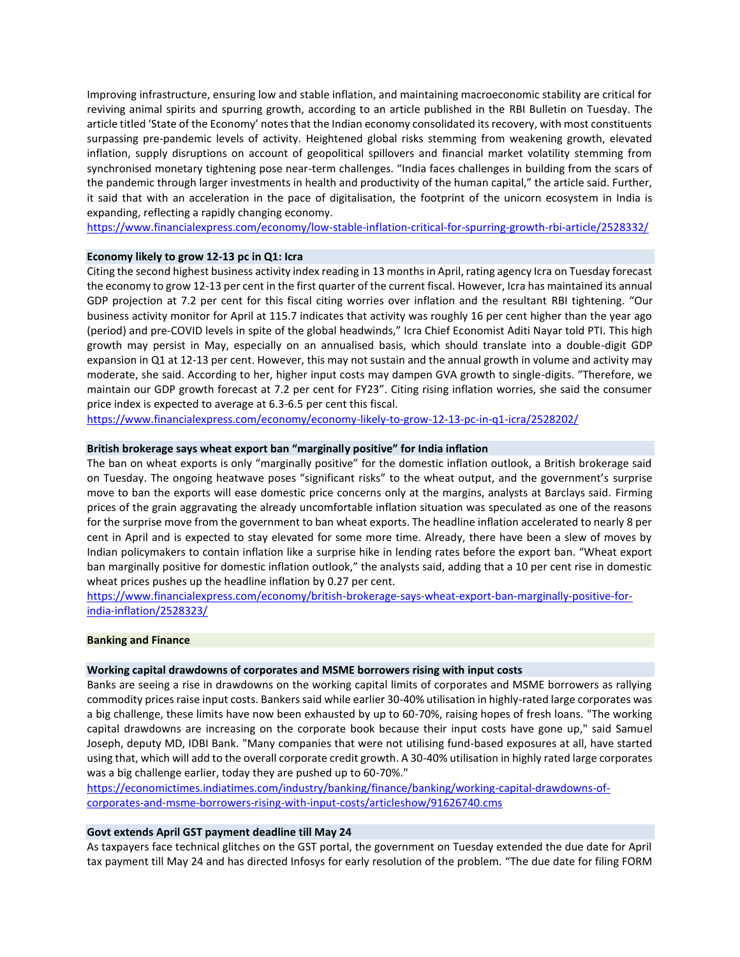Improving infrastructure, ensuring low and stable inflation, and maintaining macroeconomic stability are critical for reviving animal spirits and spurring growth, according to an article published in the RBI Bulletin on Tuesday. The article titled 'State of the Economy' notes that the Indian economy consolidated its recovery, with most constituents surpassing pre-pandemic levels of activity. Heightened global risks stemming from weakening growth, elevated inflation, supply disruptions on account of geopolitical spillovers and financial market volatility stemming from synchronised monetary tightening pose near-term challenges. "India faces challenges in building from the scars of the pandemic through larger investments in health and productivity of the human capital," the article said. Further, it said that with an acceleration in the pace of digitalisation, the footprint of the unicorn ecosystem in India is expanding, reflecting a rapidly changing economy.

<https://www.financialexpress.com/economy/low-stable-inflation-critical-for-spurring-growth-rbi-article/2528332/>

### **Economy likely to grow 12-13 pc in Q1: Icra**

Citing the second highest business activity index reading in 13 months in April, rating agency Icra on Tuesday forecast the economy to grow 12-13 per cent in the first quarter of the current fiscal. However, Icra has maintained its annual GDP projection at 7.2 per cent for this fiscal citing worries over inflation and the resultant RBI tightening. "Our business activity monitor for April at 115.7 indicates that activity was roughly 16 per cent higher than the year ago (period) and pre-COVID levels in spite of the global headwinds," Icra Chief Economist Aditi Nayar told PTI. This high growth may persist in May, especially on an annualised basis, which should translate into a double-digit GDP expansion in Q1 at 12-13 per cent. However, this may not sustain and the annual growth in volume and activity may moderate, she said. According to her, higher input costs may dampen GVA growth to single-digits. "Therefore, we maintain our GDP growth forecast at 7.2 per cent for FY23". Citing rising inflation worries, she said the consumer price index is expected to average at 6.3-6.5 per cent this fiscal.

<https://www.financialexpress.com/economy/economy-likely-to-grow-12-13-pc-in-q1-icra/2528202/>

### **British brokerage says wheat export ban "marginally positive" for India inflation**

The ban on wheat exports is only "marginally positive" for the domestic inflation outlook, a British brokerage said on Tuesday. The ongoing heatwave poses "significant risks" to the wheat output, and the government's surprise move to ban the exports will ease domestic price concerns only at the margins, analysts at Barclays said. Firming prices of the grain aggravating the already uncomfortable inflation situation was speculated as one of the reasons for the surprise move from the government to ban wheat exports. The headline inflation accelerated to nearly 8 per cent in April and is expected to stay elevated for some more time. Already, there have been a slew of moves by Indian policymakers to contain inflation like a surprise hike in lending rates before the export ban. "Wheat export ban marginally positive for domestic inflation outlook," the analysts said, adding that a 10 per cent rise in domestic wheat prices pushes up the headline inflation by 0.27 per cent.

[https://www.financialexpress.com/economy/british-brokerage-says-wheat-export-ban-marginally-positive-for](https://www.financialexpress.com/economy/british-brokerage-says-wheat-export-ban-marginally-positive-for-india-inflation/2528323/)[india-inflation/2528323/](https://www.financialexpress.com/economy/british-brokerage-says-wheat-export-ban-marginally-positive-for-india-inflation/2528323/)

#### **Banking and Finance**

### **Working capital drawdowns of corporates and MSME borrowers rising with input costs**

Banks are seeing a rise in drawdowns on the working capital limits of corporates and MSME borrowers as rallying commodity prices raise input costs. Bankers said while earlier 30-40% utilisation in highly-rated large corporates was a big challenge, these limits have now been exhausted by up to 60-70%, raising hopes of fresh loans. "The working capital drawdowns are increasing on the corporate book because their input costs have gone up," said Samuel Joseph, deputy MD, IDBI Bank. "Many companies that were not utilising fund-based exposures at all, have started using that, which will add to the overall corporate credit growth. A 30-40% utilisation in highly rated large corporates was a big challenge earlier, today they are pushed up to 60-70%."

[https://economictimes.indiatimes.com/industry/banking/finance/banking/working-capital-drawdowns-of](https://economictimes.indiatimes.com/industry/banking/finance/banking/working-capital-drawdowns-of-corporates-and-msme-borrowers-rising-with-input-costs/articleshow/91626740.cms)[corporates-and-msme-borrowers-rising-with-input-costs/articleshow/91626740.cms](https://economictimes.indiatimes.com/industry/banking/finance/banking/working-capital-drawdowns-of-corporates-and-msme-borrowers-rising-with-input-costs/articleshow/91626740.cms)

### **Govt extends April GST payment deadline till May 24**

As taxpayers face technical glitches on the GST portal, the government on Tuesday extended the due date for April tax payment till May 24 and has directed Infosys for early resolution of the problem. "The due date for filing FORM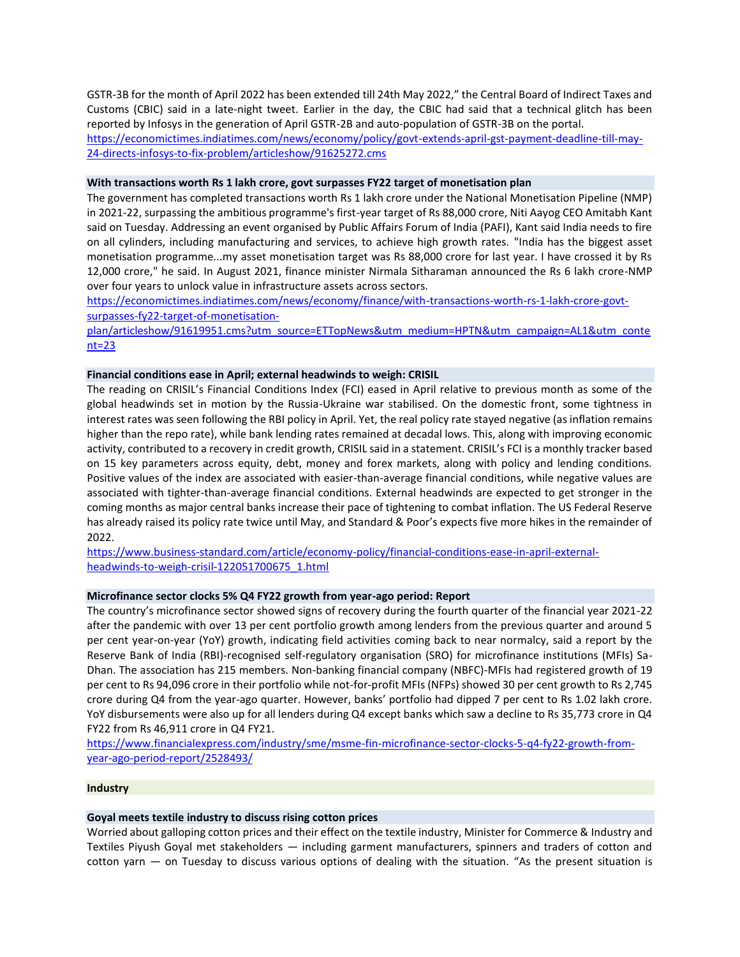GSTR-3B for the month of April 2022 has been extended till 24th May 2022," the Central Board of Indirect Taxes and Customs (CBIC) said in a late-night tweet. Earlier in the day, the CBIC had said that a technical glitch has been reported by Infosys in the generation of April GSTR-2B and auto-population of GSTR-3B on the portal. [https://economictimes.indiatimes.com/news/economy/policy/govt-extends-april-gst-payment-deadline-till-may-](https://economictimes.indiatimes.com/news/economy/policy/govt-extends-april-gst-payment-deadline-till-may-24-directs-infosys-to-fix-problem/articleshow/91625272.cms)[24-directs-infosys-to-fix-problem/articleshow/91625272.cms](https://economictimes.indiatimes.com/news/economy/policy/govt-extends-april-gst-payment-deadline-till-may-24-directs-infosys-to-fix-problem/articleshow/91625272.cms)

### **With transactions worth Rs 1 lakh crore, govt surpasses FY22 target of monetisation plan**

The government has completed transactions worth Rs 1 lakh crore under the National Monetisation Pipeline (NMP) in 2021-22, surpassing the ambitious programme's first-year target of Rs 88,000 crore, Niti Aayog CEO Amitabh Kant said on Tuesday. Addressing an event organised by Public Affairs Forum of India (PAFI), Kant said India needs to fire on all cylinders, including manufacturing and services, to achieve high growth rates. "India has the biggest asset monetisation programme...my asset monetisation target was Rs 88,000 crore for last year. I have crossed it by Rs 12,000 crore," he said. In August 2021, finance minister Nirmala Sitharaman announced the Rs 6 lakh crore-NMP over four years to unlock value in infrastructure assets across sectors.

[https://economictimes.indiatimes.com/news/economy/finance/with-transactions-worth-rs-1-lakh-crore-govt](https://economictimes.indiatimes.com/news/economy/finance/with-transactions-worth-rs-1-lakh-crore-govt-surpasses-fy22-target-of-monetisation-plan/articleshow/91619951.cms?utm_source=ETTopNews&utm_medium=HPTN&utm_campaign=AL1&utm_content=23)[surpasses-fy22-target-of-monetisation-](https://economictimes.indiatimes.com/news/economy/finance/with-transactions-worth-rs-1-lakh-crore-govt-surpasses-fy22-target-of-monetisation-plan/articleshow/91619951.cms?utm_source=ETTopNews&utm_medium=HPTN&utm_campaign=AL1&utm_content=23)

[plan/articleshow/91619951.cms?utm\\_source=ETTopNews&utm\\_medium=HPTN&utm\\_campaign=AL1&utm\\_conte](https://economictimes.indiatimes.com/news/economy/finance/with-transactions-worth-rs-1-lakh-crore-govt-surpasses-fy22-target-of-monetisation-plan/articleshow/91619951.cms?utm_source=ETTopNews&utm_medium=HPTN&utm_campaign=AL1&utm_content=23)  $nt=23$ 

### **Financial conditions ease in April; external headwinds to weigh: CRISIL**

The reading on CRISIL's Financial Conditions Index (FCI) eased in April relative to previous month as some of the global headwinds set in motion by the Russia-Ukraine war stabilised. On the domestic front, some tightness in interest rates was seen following the RBI policy in April. Yet, the real policy rate stayed negative (as inflation remains higher than the repo rate), while bank lending rates remained at decadal lows. This, along with improving economic activity, contributed to a recovery in credit growth, CRISIL said in a statement. CRISIL's FCI is a monthly tracker based on 15 key parameters across equity, debt, money and forex markets, along with policy and lending conditions. Positive values of the index are associated with easier-than-average financial conditions, while negative values are associated with tighter-than-average financial conditions. External headwinds are expected to get stronger in the coming months as major central banks increase their pace of tightening to combat inflation. The US Federal Reserve has already raised its policy rate twice until May, and Standard & Poor's expects five more hikes in the remainder of 2022.

[https://www.business-standard.com/article/economy-policy/financial-conditions-ease-in-april-external](https://www.business-standard.com/article/economy-policy/financial-conditions-ease-in-april-external-headwinds-to-weigh-crisil-122051700675_1.html)[headwinds-to-weigh-crisil-122051700675\\_1.html](https://www.business-standard.com/article/economy-policy/financial-conditions-ease-in-april-external-headwinds-to-weigh-crisil-122051700675_1.html)

#### **Microfinance sector clocks 5% Q4 FY22 growth from year-ago period: Report**

The country's microfinance sector showed signs of recovery during the fourth quarter of the financial year 2021-22 after the pandemic with over 13 per cent portfolio growth among lenders from the previous quarter and around 5 per cent year-on-year (YoY) growth, indicating field activities coming back to near normalcy, said a report by the Reserve Bank of India (RBI)-recognised self-regulatory organisation (SRO) for microfinance institutions (MFIs) Sa-Dhan. The association has 215 members. Non-banking financial company (NBFC)-MFIs had registered growth of 19 per cent to Rs 94,096 crore in their portfolio while not-for-profit MFIs (NFPs) showed 30 per cent growth to Rs 2,745 crore during Q4 from the year-ago quarter. However, banks' portfolio had dipped 7 per cent to Rs 1.02 lakh crore. YoY disbursements were also up for all lenders during Q4 except banks which saw a decline to Rs 35,773 crore in Q4 FY22 from Rs 46,911 crore in Q4 FY21.

[https://www.financialexpress.com/industry/sme/msme-fin-microfinance-sector-clocks-5-q4-fy22-growth-from](https://www.financialexpress.com/industry/sme/msme-fin-microfinance-sector-clocks-5-q4-fy22-growth-from-year-ago-period-report/2528493/)[year-ago-period-report/2528493/](https://www.financialexpress.com/industry/sme/msme-fin-microfinance-sector-clocks-5-q4-fy22-growth-from-year-ago-period-report/2528493/)

#### **Industry**

### **Goyal meets textile industry to discuss rising cotton prices**

Worried about galloping cotton prices and their effect on the textile industry, Minister for Commerce & Industry and Textiles Piyush Goyal met stakeholders — including garment manufacturers, spinners and traders of cotton and cotton yarn — on Tuesday to discuss various options of dealing with the situation. "As the present situation is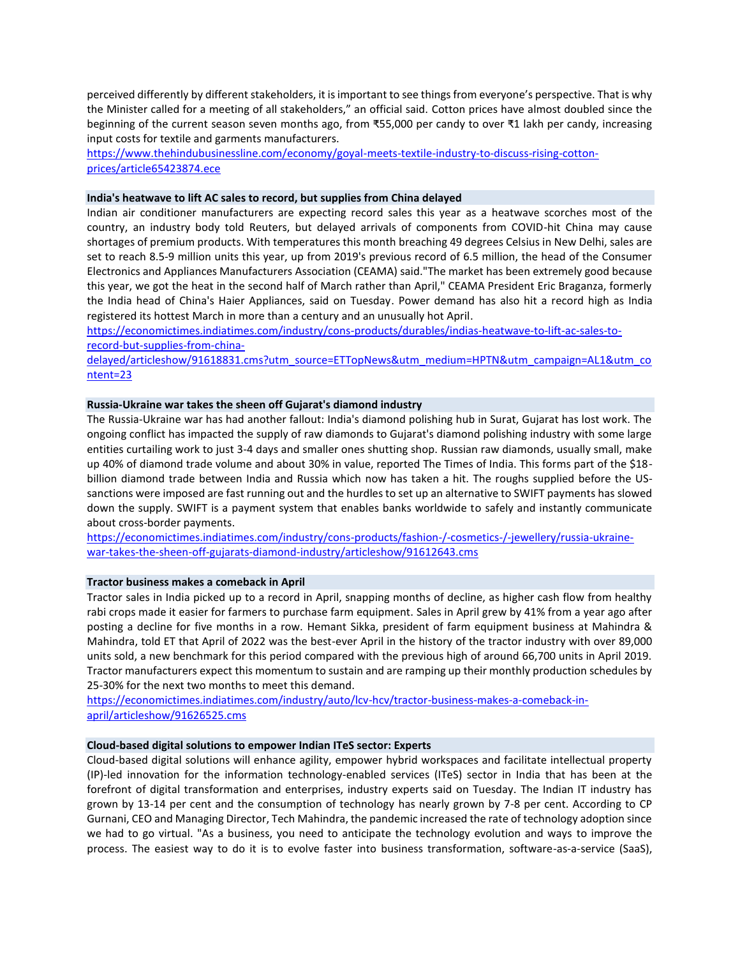perceived differently by different stakeholders, it is important to see things from everyone's perspective. That is why the Minister called for a meeting of all stakeholders," an official said. Cotton prices have almost doubled since the beginning of the current season seven months ago, from ₹55,000 per candy to over ₹1 lakh per candy, increasing input costs for textile and garments manufacturers.

[https://www.thehindubusinessline.com/economy/goyal-meets-textile-industry-to-discuss-rising-cotton](https://www.thehindubusinessline.com/economy/goyal-meets-textile-industry-to-discuss-rising-cotton-prices/article65423874.ece)[prices/article65423874.ece](https://www.thehindubusinessline.com/economy/goyal-meets-textile-industry-to-discuss-rising-cotton-prices/article65423874.ece)

# **India's heatwave to lift AC sales to record, but supplies from China delayed**

Indian air conditioner manufacturers are expecting record sales this year as a heatwave scorches most of the country, an industry body told Reuters, but delayed arrivals of components from COVID-hit China may cause shortages of premium products. With temperatures this month breaching 49 degrees Celsius in New Delhi, sales are set to reach 8.5-9 million units this year, up from 2019's previous record of 6.5 million, the head of the Consumer Electronics and Appliances Manufacturers Association (CEAMA) said."The market has been extremely good because this year, we got the heat in the second half of March rather than April," CEAMA President Eric Braganza, formerly the India head of China's Haier Appliances, said on Tuesday. Power demand has also hit a record high as India registered its hottest March in more than a century and an unusually hot April.

[https://economictimes.indiatimes.com/industry/cons-products/durables/indias-heatwave-to-lift-ac-sales-to](https://economictimes.indiatimes.com/industry/cons-products/durables/indias-heatwave-to-lift-ac-sales-to-record-but-supplies-from-china-delayed/articleshow/91618831.cms?utm_source=ETTopNews&utm_medium=HPTN&utm_campaign=AL1&utm_content=23)[record-but-supplies-from-china-](https://economictimes.indiatimes.com/industry/cons-products/durables/indias-heatwave-to-lift-ac-sales-to-record-but-supplies-from-china-delayed/articleshow/91618831.cms?utm_source=ETTopNews&utm_medium=HPTN&utm_campaign=AL1&utm_content=23)

[delayed/articleshow/91618831.cms?utm\\_source=ETTopNews&utm\\_medium=HPTN&utm\\_campaign=AL1&utm\\_co](https://economictimes.indiatimes.com/industry/cons-products/durables/indias-heatwave-to-lift-ac-sales-to-record-but-supplies-from-china-delayed/articleshow/91618831.cms?utm_source=ETTopNews&utm_medium=HPTN&utm_campaign=AL1&utm_content=23) [ntent=23](https://economictimes.indiatimes.com/industry/cons-products/durables/indias-heatwave-to-lift-ac-sales-to-record-but-supplies-from-china-delayed/articleshow/91618831.cms?utm_source=ETTopNews&utm_medium=HPTN&utm_campaign=AL1&utm_content=23)

### **Russia-Ukraine war takes the sheen off Gujarat's diamond industry**

The Russia-Ukraine war has had another fallout: India's diamond polishing hub in Surat, Gujarat has lost work. The ongoing conflict has impacted the supply of raw diamonds to Gujarat's diamond polishing industry with some large entities curtailing work to just 3-4 days and smaller ones shutting shop. Russian raw diamonds, usually small, make up 40% of diamond trade volume and about 30% in value, reported The Times of India. This forms part of the \$18 billion diamond trade between India and Russia which now has taken a hit. The roughs supplied before the USsanctions were imposed are fast running out and the hurdles to set up an alternative to SWIFT payments has slowed down the supply. SWIFT is a payment system that enables banks worldwide to safely and instantly communicate about cross-border payments.

[https://economictimes.indiatimes.com/industry/cons-products/fashion-/-cosmetics-/-jewellery/russia-ukraine](https://economictimes.indiatimes.com/industry/cons-products/fashion-/-cosmetics-/-jewellery/russia-ukraine-war-takes-the-sheen-off-gujarats-diamond-industry/articleshow/91612643.cms)[war-takes-the-sheen-off-gujarats-diamond-industry/articleshow/91612643.cms](https://economictimes.indiatimes.com/industry/cons-products/fashion-/-cosmetics-/-jewellery/russia-ukraine-war-takes-the-sheen-off-gujarats-diamond-industry/articleshow/91612643.cms)

### **Tractor business makes a comeback in April**

Tractor sales in India picked up to a record in April, snapping months of decline, as higher cash flow from healthy rabi crops made it easier for farmers to purchase farm equipment. Sales in April grew by 41% from a year ago after posting a decline for five months in a row. Hemant Sikka, president of farm equipment business at Mahindra & Mahindra, told ET that April of 2022 was the best-ever April in the history of the tractor industry with over 89,000 units sold, a new benchmark for this period compared with the previous high of around 66,700 units in April 2019. Tractor manufacturers expect this momentum to sustain and are ramping up their monthly production schedules by 25-30% for the next two months to meet this demand.

[https://economictimes.indiatimes.com/industry/auto/lcv-hcv/tractor-business-makes-a-comeback-in](https://economictimes.indiatimes.com/industry/auto/lcv-hcv/tractor-business-makes-a-comeback-in-april/articleshow/91626525.cms)[april/articleshow/91626525.cms](https://economictimes.indiatimes.com/industry/auto/lcv-hcv/tractor-business-makes-a-comeback-in-april/articleshow/91626525.cms)

#### **Cloud-based digital solutions to empower Indian ITeS sector: Experts**

Cloud-based digital solutions will enhance agility, empower hybrid workspaces and facilitate intellectual property (IP)-led innovation for the information technology-enabled services (ITeS) sector in India that has been at the forefront of digital transformation and enterprises, industry experts said on Tuesday. The Indian IT industry has grown by 13-14 per cent and the consumption of technology has nearly grown by 7-8 per cent. According to CP Gurnani, CEO and Managing Director, Tech Mahindra, the pandemic increased the rate of technology adoption since we had to go virtual. "As a business, you need to anticipate the technology evolution and ways to improve the process. The easiest way to do it is to evolve faster into business transformation, software-as-a-service (SaaS),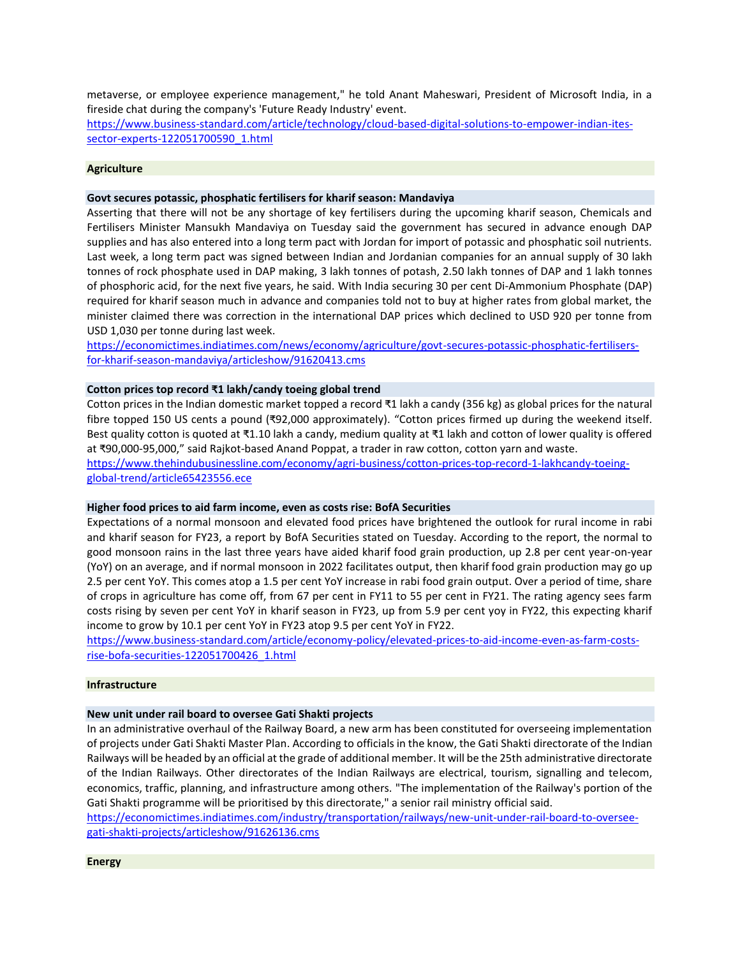metaverse, or employee experience management," he told Anant Maheswari, President of Microsoft India, in a fireside chat during the company's 'Future Ready Industry' event.

[https://www.business-standard.com/article/technology/cloud-based-digital-solutions-to-empower-indian-ites](https://www.business-standard.com/article/technology/cloud-based-digital-solutions-to-empower-indian-ites-sector-experts-122051700590_1.html)[sector-experts-122051700590\\_1.html](https://www.business-standard.com/article/technology/cloud-based-digital-solutions-to-empower-indian-ites-sector-experts-122051700590_1.html)

#### **Agriculture**

#### **Govt secures potassic, phosphatic fertilisers for kharif season: Mandaviya**

Asserting that there will not be any shortage of key fertilisers during the upcoming kharif season, Chemicals and Fertilisers Minister Mansukh Mandaviya on Tuesday said the government has secured in advance enough DAP supplies and has also entered into a long term pact with Jordan for import of potassic and phosphatic soil nutrients. Last week, a long term pact was signed between Indian and Jordanian companies for an annual supply of 30 lakh tonnes of rock phosphate used in DAP making, 3 lakh tonnes of potash, 2.50 lakh tonnes of DAP and 1 lakh tonnes of phosphoric acid, for the next five years, he said. With India securing 30 per cent Di-Ammonium Phosphate (DAP) required for kharif season much in advance and companies told not to buy at higher rates from global market, the minister claimed there was correction in the international DAP prices which declined to USD 920 per tonne from USD 1,030 per tonne during last week.

[https://economictimes.indiatimes.com/news/economy/agriculture/govt-secures-potassic-phosphatic-fertilisers](https://economictimes.indiatimes.com/news/economy/agriculture/govt-secures-potassic-phosphatic-fertilisers-for-kharif-season-mandaviya/articleshow/91620413.cms)[for-kharif-season-mandaviya/articleshow/91620413.cms](https://economictimes.indiatimes.com/news/economy/agriculture/govt-secures-potassic-phosphatic-fertilisers-for-kharif-season-mandaviya/articleshow/91620413.cms)

### **Cotton prices top record ₹1 lakh/candy toeing global trend**

Cotton prices in the Indian domestic market topped a record ₹1 lakh a candy (356 kg) as global prices for the natural fibre topped 150 US cents a pound (₹92,000 approximately). "Cotton prices firmed up during the weekend itself. Best quality cotton is quoted at ₹1.10 lakh a candy, medium quality at ₹1 lakh and cotton of lower quality is offered at ₹90,000-95,000," said Rajkot-based Anand Poppat, a trader in raw cotton, cotton yarn and waste.

[https://www.thehindubusinessline.com/economy/agri-business/cotton-prices-top-record-1-lakhcandy-toeing](https://www.thehindubusinessline.com/economy/agri-business/cotton-prices-top-record-1-lakhcandy-toeing-global-trend/article65423556.ece)[global-trend/article65423556.ece](https://www.thehindubusinessline.com/economy/agri-business/cotton-prices-top-record-1-lakhcandy-toeing-global-trend/article65423556.ece)

#### **Higher food prices to aid farm income, even as costs rise: BofA Securities**

Expectations of a normal monsoon and elevated food prices have brightened the outlook for rural income in rabi and kharif season for FY23, a report by BofA Securities stated on Tuesday. According to the report, the normal to good monsoon rains in the last three years have aided kharif food grain production, up 2.8 per cent year-on-year (YoY) on an average, and if normal monsoon in 2022 facilitates output, then kharif food grain production may go up 2.5 per cent YoY. This comes atop a 1.5 per cent YoY increase in rabi food grain output. Over a period of time, share of crops in agriculture has come off, from 67 per cent in FY11 to 55 per cent in FY21. The rating agency sees farm costs rising by seven per cent YoY in kharif season in FY23, up from 5.9 per cent yoy in FY22, this expecting kharif income to grow by 10.1 per cent YoY in FY23 atop 9.5 per cent YoY in FY22.

[https://www.business-standard.com/article/economy-policy/elevated-prices-to-aid-income-even-as-farm-costs](https://www.business-standard.com/article/economy-policy/elevated-prices-to-aid-income-even-as-farm-costs-rise-bofa-securities-122051700426_1.html)[rise-bofa-securities-122051700426\\_1.html](https://www.business-standard.com/article/economy-policy/elevated-prices-to-aid-income-even-as-farm-costs-rise-bofa-securities-122051700426_1.html)

#### **Infrastructure**

#### **New unit under rail board to oversee Gati Shakti projects**

In an administrative overhaul of the Railway Board, a new arm has been constituted for overseeing implementation of projects under Gati Shakti Master Plan. According to officials in the know, the Gati Shakti directorate of the Indian Railways will be headed by an official at the grade of additional member. It will be the 25th administrative directorate of the Indian Railways. Other directorates of the Indian Railways are electrical, tourism, signalling and telecom, economics, traffic, planning, and infrastructure among others. "The implementation of the Railway's portion of the Gati Shakti programme will be prioritised by this directorate," a senior rail ministry official said.

[https://economictimes.indiatimes.com/industry/transportation/railways/new-unit-under-rail-board-to-oversee](https://economictimes.indiatimes.com/industry/transportation/railways/new-unit-under-rail-board-to-oversee-gati-shakti-projects/articleshow/91626136.cms)[gati-shakti-projects/articleshow/91626136.cms](https://economictimes.indiatimes.com/industry/transportation/railways/new-unit-under-rail-board-to-oversee-gati-shakti-projects/articleshow/91626136.cms)

#### **Energy**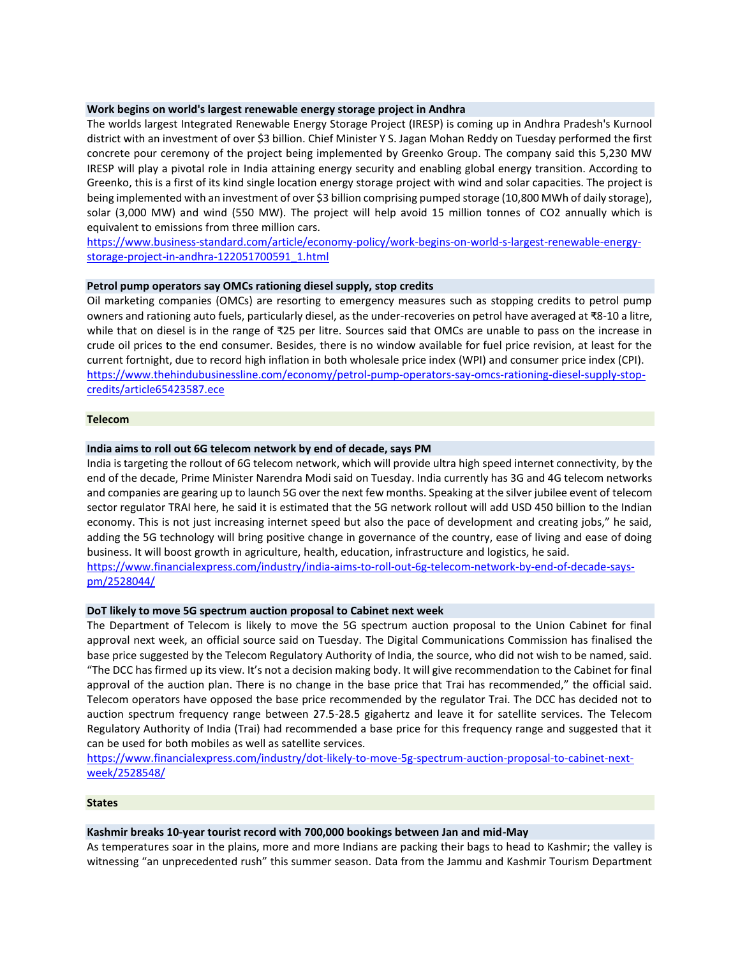### **Work begins on world's largest renewable energy storage project in Andhra**

The worlds largest Integrated Renewable Energy Storage Project (IRESP) is coming up in Andhra Pradesh's Kurnool district with an investment of over \$3 billion. Chief Minister Y S. Jagan Mohan Reddy on Tuesday performed the first concrete pour ceremony of the project being implemented by Greenko Group. The company said this 5,230 MW IRESP will play a pivotal role in India attaining energy security and enabling global energy transition. According to Greenko, this is a first of its kind single location energy storage project with wind and solar capacities. The project is being implemented with an investment of over \$3 billion comprising pumped storage (10,800 MWh of daily storage), solar (3,000 MW) and wind (550 MW). The project will help avoid 15 million tonnes of CO2 annually which is equivalent to emissions from three million cars.

[https://www.business-standard.com/article/economy-policy/work-begins-on-world-s-largest-renewable-energy](https://www.business-standard.com/article/economy-policy/work-begins-on-world-s-largest-renewable-energy-storage-project-in-andhra-122051700591_1.html)[storage-project-in-andhra-122051700591\\_1.html](https://www.business-standard.com/article/economy-policy/work-begins-on-world-s-largest-renewable-energy-storage-project-in-andhra-122051700591_1.html)

## **Petrol pump operators say OMCs rationing diesel supply, stop credits**

Oil marketing companies (OMCs) are resorting to emergency measures such as stopping credits to petrol pump owners and rationing auto fuels, particularly diesel, as the under-recoveries on petrol have averaged at ₹8-10 a litre, while that on diesel is in the range of ₹25 per litre. Sources said that OMCs are unable to pass on the increase in crude oil prices to the end consumer. Besides, there is no window available for fuel price revision, at least for the current fortnight, due to record high inflation in both wholesale price index (WPI) and consumer price index (CPI). [https://www.thehindubusinessline.com/economy/petrol-pump-operators-say-omcs-rationing-diesel-supply-stop](https://www.thehindubusinessline.com/economy/petrol-pump-operators-say-omcs-rationing-diesel-supply-stop-credits/article65423587.ece)[credits/article65423587.ece](https://www.thehindubusinessline.com/economy/petrol-pump-operators-say-omcs-rationing-diesel-supply-stop-credits/article65423587.ece)

# **Telecom**

# **India aims to roll out 6G telecom network by end of decade, says PM**

India is targeting the rollout of 6G telecom network, which will provide ultra high speed internet connectivity, by the end of the decade, Prime Minister Narendra Modi said on Tuesday. India currently has 3G and 4G telecom networks and companies are gearing up to launch 5G over the next few months. Speaking at the silver jubilee event of telecom sector regulator TRAI here, he said it is estimated that the 5G network rollout will add USD 450 billion to the Indian economy. This is not just increasing internet speed but also the pace of development and creating jobs," he said, adding the 5G technology will bring positive change in governance of the country, ease of living and ease of doing business. It will boost growth in agriculture, health, education, infrastructure and logistics, he said.

[https://www.financialexpress.com/industry/india-aims-to-roll-out-6g-telecom-network-by-end-of-decade-says](https://www.financialexpress.com/industry/india-aims-to-roll-out-6g-telecom-network-by-end-of-decade-says-pm/2528044/)[pm/2528044/](https://www.financialexpress.com/industry/india-aims-to-roll-out-6g-telecom-network-by-end-of-decade-says-pm/2528044/)

### **DoT likely to move 5G spectrum auction proposal to Cabinet next week**

The Department of Telecom is likely to move the 5G spectrum auction proposal to the Union Cabinet for final approval next week, an official source said on Tuesday. The Digital Communications Commission has finalised the base price suggested by the Telecom Regulatory Authority of India, the source, who did not wish to be named, said. "The DCC has firmed up its view. It's not a decision making body. It will give recommendation to the Cabinet for final approval of the auction plan. There is no change in the base price that Trai has recommended," the official said. Telecom operators have opposed the base price recommended by the regulator Trai. The DCC has decided not to auction spectrum frequency range between 27.5-28.5 gigahertz and leave it for satellite services. The Telecom Regulatory Authority of India (Trai) had recommended a base price for this frequency range and suggested that it can be used for both mobiles as well as satellite services.

[https://www.financialexpress.com/industry/dot-likely-to-move-5g-spectrum-auction-proposal-to-cabinet-next](https://www.financialexpress.com/industry/dot-likely-to-move-5g-spectrum-auction-proposal-to-cabinet-next-week/2528548/)[week/2528548/](https://www.financialexpress.com/industry/dot-likely-to-move-5g-spectrum-auction-proposal-to-cabinet-next-week/2528548/)

#### **States**

#### **Kashmir breaks 10-year tourist record with 700,000 bookings between Jan and mid-May**

As temperatures soar in the plains, more and more Indians are packing their bags to head to Kashmir; the valley is witnessing "an unprecedented rush" this summer season. Data from the Jammu and Kashmir Tourism Department